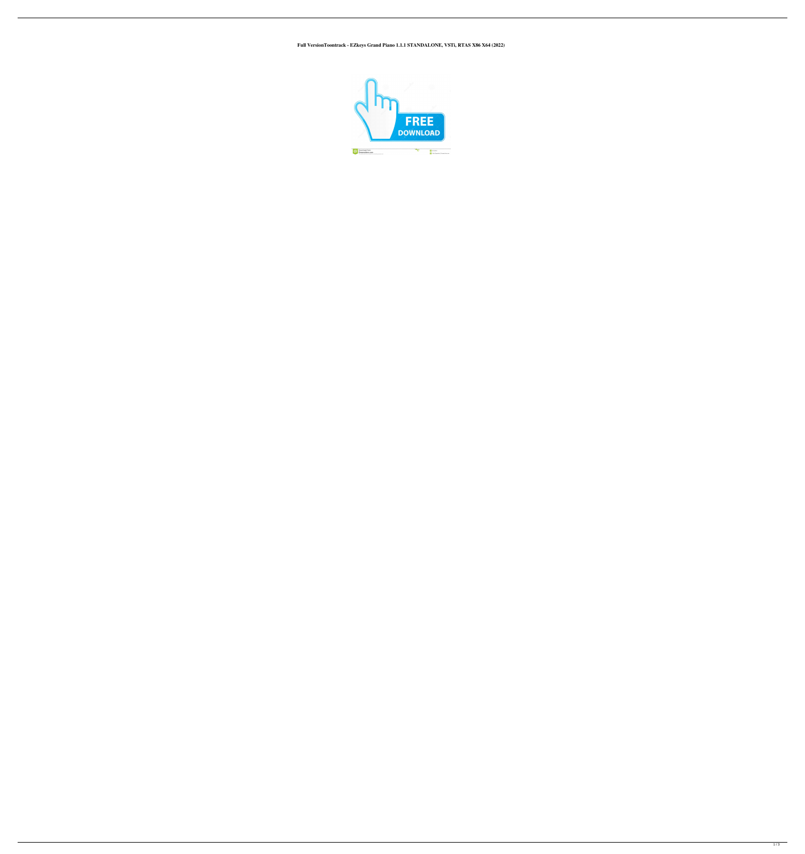## **Full VersionToontrack - EZkeys Grand Piano 1.1.1 STANDALONE, VSTi, RTAS X86 X64 (2022)**

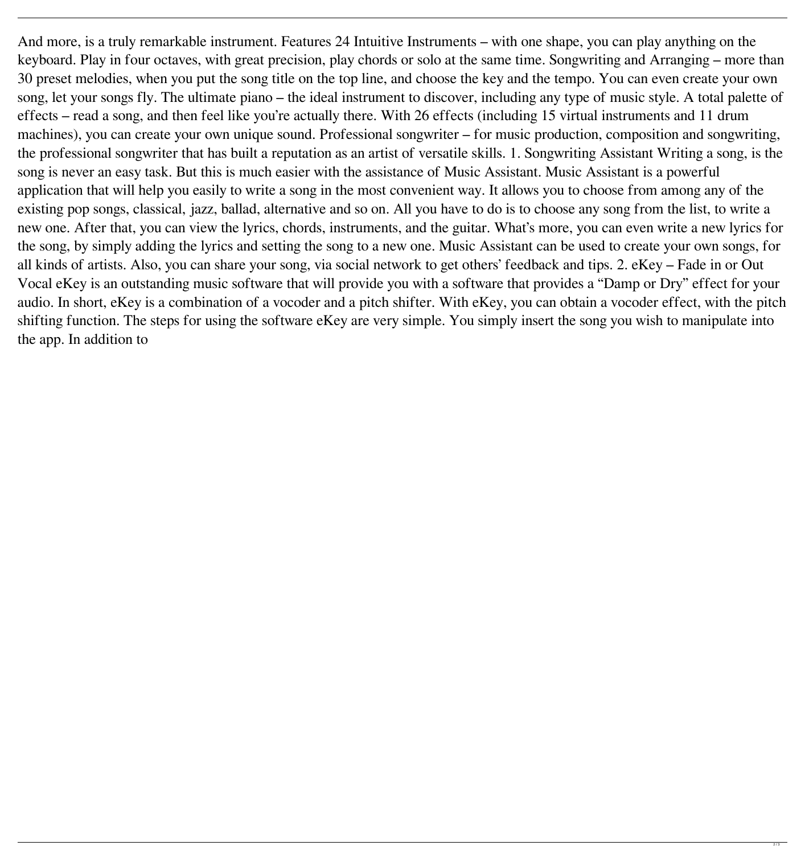And more, is a truly remarkable instrument. Features 24 Intuitive Instruments – with one shape, you can play anything on the keyboard. Play in four octaves, with great precision, play chords or solo at the same time. Songwriting and Arranging – more than 30 preset melodies, when you put the song title on the top line, and choose the key and the tempo. You can even create your own song, let your songs fly. The ultimate piano – the ideal instrument to discover, including any type of music style. A total palette of effects – read a song, and then feel like you're actually there. With 26 effects (including 15 virtual instruments and 11 drum machines), you can create your own unique sound. Professional songwriter – for music production, composition and songwriting, the professional songwriter that has built a reputation as an artist of versatile skills. 1. Songwriting Assistant Writing a song, is the song is never an easy task. But this is much easier with the assistance of Music Assistant. Music Assistant is a powerful application that will help you easily to write a song in the most convenient way. It allows you to choose from among any of the existing pop songs, classical, jazz, ballad, alternative and so on. All you have to do is to choose any song from the list, to write a new one. After that, you can view the lyrics, chords, instruments, and the guitar. What's more, you can even write a new lyrics for the song, by simply adding the lyrics and setting the song to a new one. Music Assistant can be used to create your own songs, for all kinds of artists. Also, you can share your song, via social network to get others' feedback and tips. 2. eKey – Fade in or Out Vocal eKey is an outstanding music software that will provide you with a software that provides a "Damp or Dry" effect for your audio. In short, eKey is a combination of a vocoder and a pitch shifter. With eKey, you can obtain a vocoder effect, with the pitch shifting function. The steps for using the software eKey are very simple. You simply insert the song you wish to manipulate into the app. In addition to